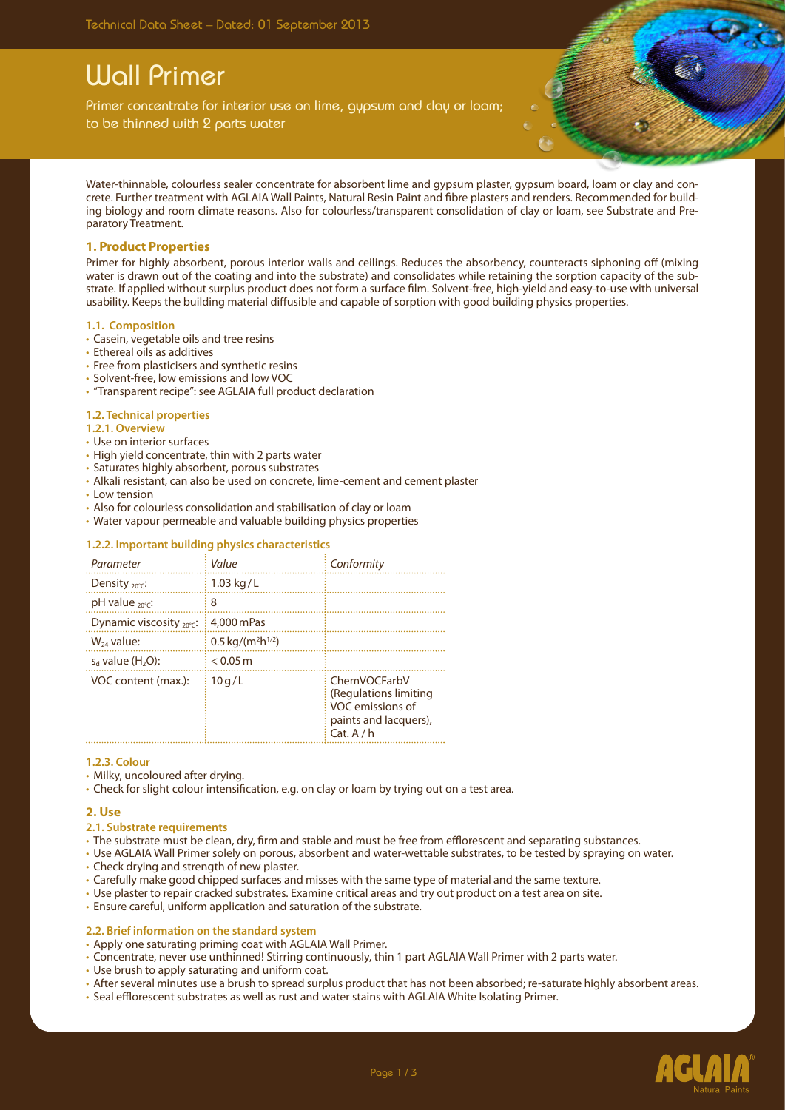# Wall Primer

Primer concentrate for interior use on lime, gypsum and clay or loam; to be thinned with 2 parts water

Water-thinnable, colourless sealer concentrate for absorbent lime and gypsum plaster, gypsum board, loam or clay and concrete. Further treatment with AGLAIA Wall Paints, Natural Resin Paint and fibre plasters and renders. Recommended for building biology and room climate reasons. Also for colourless/transparent consolidation of clay or loam, see Substrate and Preparatory Treatment.

## **1. Product Properties**

Primer for highly absorbent, porous interior walls and ceilings. Reduces the absorbency, counteracts siphoning off (mixing water is drawn out of the coating and into the substrate) and consolidates while retaining the sorption capacity of the substrate. If applied without surplus product does not form a surface film. Solvent-free, high-yield and easy-to-use with universal usability. Keeps the building material diffusible and capable of sorption with good building physics properties.

#### **1.1. Composition**

- Casein, vegetable oils and tree resins
- Ethereal oils as additives
- Free from plasticisers and synthetic resins
- • Solvent-free, low emissions and low VOC
- • "Transparent recipe": see AGLAIA full product declaration

### **1.2. Technical properties**

- **1.2.1. Overview**
- • Use on interior surfaces
- High yield concentrate, thin with 2 parts water
- • Saturates highly absorbent, porous substrates
- • Alkali resistant, can also be used on concrete, lime-cement and cement plaster
- • Low tension
- Also for colourless consolidation and stabilisation of clay or loam
- • Water vapour permeable and valuable building physics properties

### **1.2.2. Important building physics characteristics**

| Parameter                            | Value                            | Conformity                                                                                     |
|--------------------------------------|----------------------------------|------------------------------------------------------------------------------------------------|
| Density $_{20^{\circ}C}$ :           | $1.03$ kg/L                      |                                                                                                |
| $pH$ value $20^{\circ}$ c:           | 8                                |                                                                                                |
| Dynamic viscosity $_{20^{\circ}C}$ : | 4,000 mPas                       |                                                                                                |
| $W_{24}$ value:                      | $0.5 \,\mathrm{kg/(m^2h^{1/2})}$ |                                                                                                |
| $s_d$ value $(H2O)$ :                | $< 0.05 \,\mathrm{m}$            |                                                                                                |
| VOC content (max.):                  | 10q/L                            | ChemVOCFarbV<br>(Regulations limiting<br>VOC emissions of<br>paints and lacquers),<br>Cat. A/h |

#### **1.2.3. Colour**

- Milky, uncoloured after drying.
- Check for slight colour intensification, e.g. on clay or loam by trying out on a test area.

### **2. Use**

### **2.1. Substrate requirements**

- The substrate must be clean, dry, firm and stable and must be free from efflorescent and separating substances.
- • Use AGLAIA Wall Primer solely on porous, absorbent and water-wettable substrates, to be tested by spraying on water.
- Check drying and strength of new plaster.
- • Carefully make good chipped surfaces and misses with the same type of material and the same texture.
- • Use plaster to repair cracked substrates. Examine critical areas and try out product on a test area on site.
- Ensure careful, uniform application and saturation of the substrate.

### **2.2. Brief information on the standard system**

- Apply one saturating priming coat with AGLAIA Wall Primer.
- • Concentrate, never use unthinned! Stirring continuously, thin 1 part AGLAIA Wall Primer with 2 parts water.
- Use brush to apply saturating and uniform coat.
- • After several minutes use a brush to spread surplus product that has not been absorbed; re-saturate highly absorbent areas.
- • Seal efflorescent substrates as well as rust and water stains with AGLAIA White Isolating Primer.

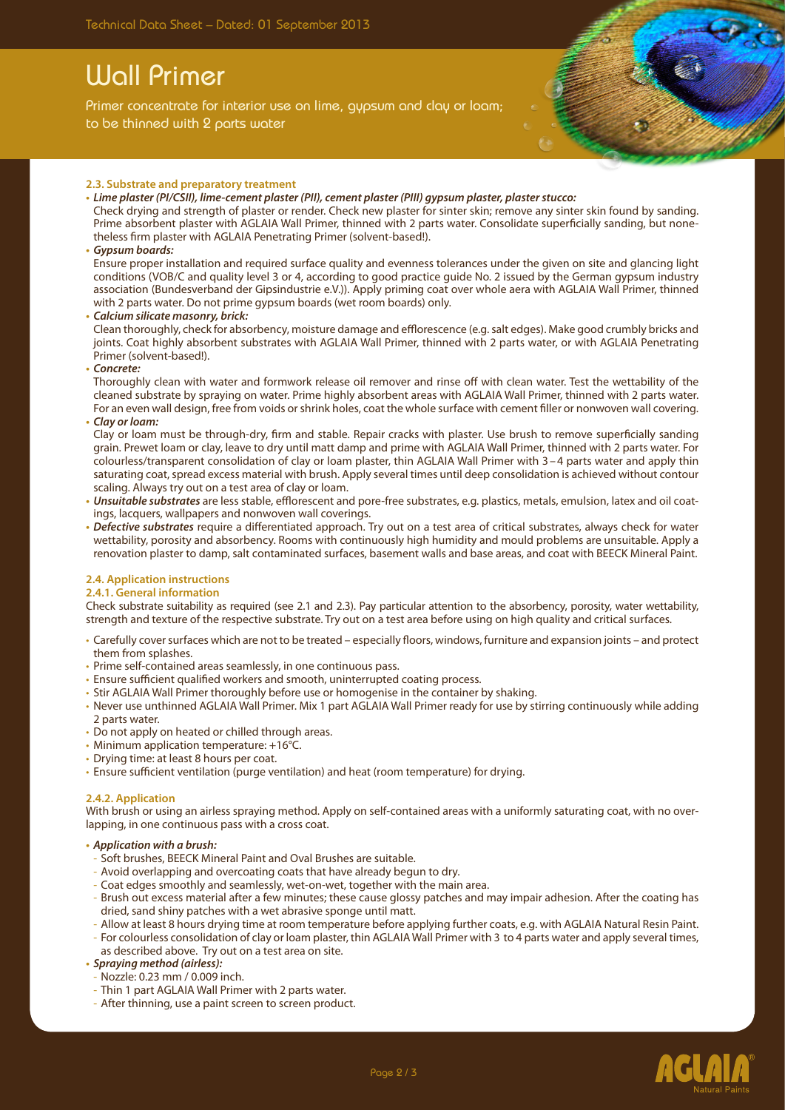# Wall Primer

Primer concentrate for interior use on lime, gypsum and clay or loam; to be thinned with 2 parts water



- **• Lime plaster (PI/CSII), lime-cement plaster (PII), cement plaster (PIII) gypsum plaster, plasterstucco:** Check drying and strength of plaster or render. Check new plaster for sinter skin; remove any sinter skin found by sanding. Prime absorbent plaster with AGLAIA Wall Primer, thinned with 2 parts water. Consolidate superficially sanding, but nonetheless firm plaster with AGLAIA Penetrating Primer (solvent-based!).
- **• Gypsum boards:**

Ensure proper installation and required surface quality and evenness tolerances under the given on site and glancing light conditions (VOB/C and quality level 3 or 4, according to good practice guide No. 2 issued by the German gypsum industry association (Bundesverband der Gipsindustrie e.V.)). Apply priming coat over whole aera with AGLAIA Wall Primer, thinned with 2 parts water. Do not prime gypsum boards (wet room boards) only.

**• Calcium silicate masonry, brick:**

Clean thoroughly, check for absorbency, moisture damage and efflorescence (e.g. salt edges). Make good crumbly bricks and joints. Coat highly absorbent substrates with AGLAIA Wall Primer, thinned with 2 parts water, or with AGLAIA Penetrating Primer (solvent-based!).

**• Concrete:**

Thoroughly clean with water and formwork release oil remover and rinse off with clean water. Test the wettability of the cleaned substrate by spraying on water. Prime highly absorbent areas with AGLAIA Wall Primer, thinned with 2 parts water. For an even wall design, free from voids or shrink holes, coat the whole surface with cement filler or nonwoven wall covering.

**• Clay or loam:**

Clay or loam must be through-dry, firm and stable. Repair cracks with plaster. Use brush to remove superficially sanding grain. Prewet loam or clay, leave to dry until matt damp and prime with AGLAIA Wall Primer, thinned with 2 parts water. For colourless/transparent consolidation of clay or loam plaster, thin AGLAIA Wall Primer with 3 –4 parts water and apply thin saturating coat, spread excess material with brush. Apply several times until deep consolidation is achieved without contour scaling. Always try out on a test area of clay or loam.

- **• Unsuitable substrates** are less stable, efflorescent and pore-free substrates, e.g. plastics, metals, emulsion, latex and oil coatings, lacquers, wallpapers and nonwoven wall coverings.
- **• Defective substrates** require a differentiated approach. Try out on a test area of critical substrates, always check for water wettability, porosity and absorbency. Rooms with continuously high humidity and mould problems are unsuitable. Apply a renovation plaster to damp, salt contaminated surfaces, basement walls and base areas, and coat with BEECK Mineral Paint.
- **2.4. Application instructions**

### **2.4.1. General information**

Check substrate suitability as required (see 2.1 and 2.3). Pay particular attention to the absorbency, porosity, water wettability, strength and texture of the respective substrate. Try out on a test area before using on high quality and critical surfaces.

- • Carefully cover surfaces which are not to be treated especially floors, windows, furniture and expansion joints and protect them from splashes.
- Prime self-contained areas seamlessly, in one continuous pass.
- Ensure sufficient qualified workers and smooth, uninterrupted coating process.
- Stir AGLAIA Wall Primer thoroughly before use or homogenise in the container by shaking.
- • Never use unthinned AGLAIA Wall Primer. Mix 1 part AGLAIA Wall Primer ready for use by stirring continuously while adding 2 parts water.
- Do not apply on heated or chilled through areas.
- Minimum application temperature: +16°C.
- Drying time: at least 8 hours per coat.
- Ensure sufficient ventilation (purge ventilation) and heat (room temperature) for drying.

#### **2.4.2. Application**

With brush or using an airless spraying method. Apply on self-contained areas with a uniformly saturating coat, with no overlapping, in one continuous pass with a cross coat.

- **• Application with a brush:**
- Soft brushes, BEECK Mineral Paint and Oval Brushes are suitable.
- Avoid overlapping and overcoating coats that have already begun to dry.
- Coat edges smoothly and seamlessly, wet-on-wet, together with the main area.
- Brush out excess material after a few minutes; these cause glossy patches and may impair adhesion. After the coating has dried, sand shiny patches with a wet abrasive sponge until matt.
- Allow at least 8 hours drying time at room temperature before applying further coats, e.g. with AGLAIA Natural Resin Paint.
- For colourless consolidation of clay or loam plaster, thin AGLAIA Wall Primer with 3 to 4 parts water and apply several times, as described above. Try out on a test area on site.
- **• Spraying method (airless):**
- Nozzle: 0.23 mm / 0.009 inch.
- Thin 1 part AGLAIA Wall Primer with 2 parts water.
- After thinning, use a paint screen to screen product.